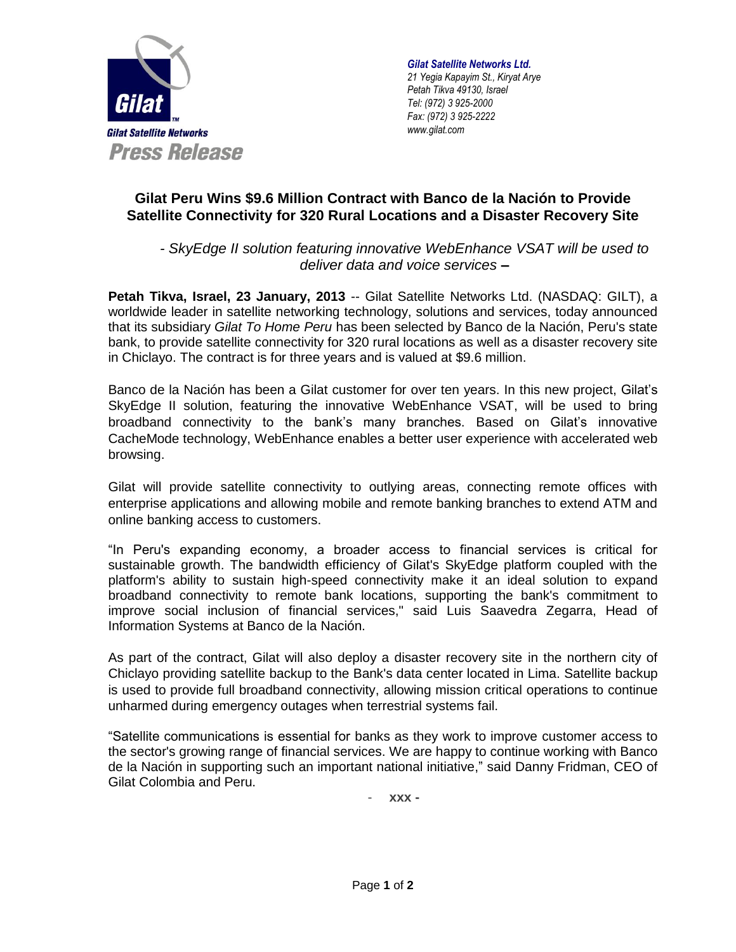

*Gilat Satellite Networks Ltd. 21 Yegia Kapayim St., Kiryat Arye Petah Tikva 49130, Israel Tel: (972) 3 925-2000 Fax: (972) 3 925-2222 www.gilat.com*

## **Gilat Peru Wins \$9.6 Million Contract with Banco de la Nación to Provide Satellite Connectivity for 320 Rural Locations and a Disaster Recovery Site**

*- SkyEdge II solution featuring innovative WebEnhance VSAT will be used to deliver data and voice services* **–**

**Petah Tikva, Israel, 23 January, 2013** -- Gilat Satellite Networks Ltd. (NASDAQ: GILT), a worldwide leader in satellite networking technology, solutions and services, today announced that its subsidiary *Gilat To Home Peru* has been selected by Banco de la Nación, Peru's state bank, to provide satellite connectivity for 320 rural locations as well as a disaster recovery site in Chiclayo. The contract is for three years and is valued at \$9.6 million.

Banco de la Nación has been a Gilat customer for over ten years. In this new project, Gilat's SkyEdge II solution, featuring the innovative WebEnhance VSAT, will be used to bring broadband connectivity to the bank's many branches. Based on Gilat's innovative CacheMode technology, WebEnhance enables a better user experience with accelerated web browsing.

Gilat will provide satellite connectivity to outlying areas, connecting remote offices with enterprise applications and allowing mobile and remote banking branches to extend ATM and online banking access to customers.

"In Peru's expanding economy, a broader access to financial services is critical for sustainable growth. The bandwidth efficiency of Gilat's SkyEdge platform coupled with the platform's ability to sustain high-speed connectivity make it an ideal solution to expand broadband connectivity to remote bank locations, supporting the bank's commitment to improve social inclusion of financial services," said Luis Saavedra Zegarra, Head of Information Systems at Banco de la Nación.

As part of the contract, Gilat will also deploy a disaster recovery site in the northern city of Chiclayo providing satellite backup to the Bank's data center located in Lima. Satellite backup is used to provide full broadband connectivity, allowing mission critical operations to continue unharmed during emergency outages when terrestrial systems fail.

"Satellite communications is essential for banks as they work to improve customer access to the sector's growing range of financial services. We are happy to continue working with Banco de la Nación in supporting such an important national initiative," said Danny Fridman, CEO of Gilat Colombia and Peru.

- **xxx -**